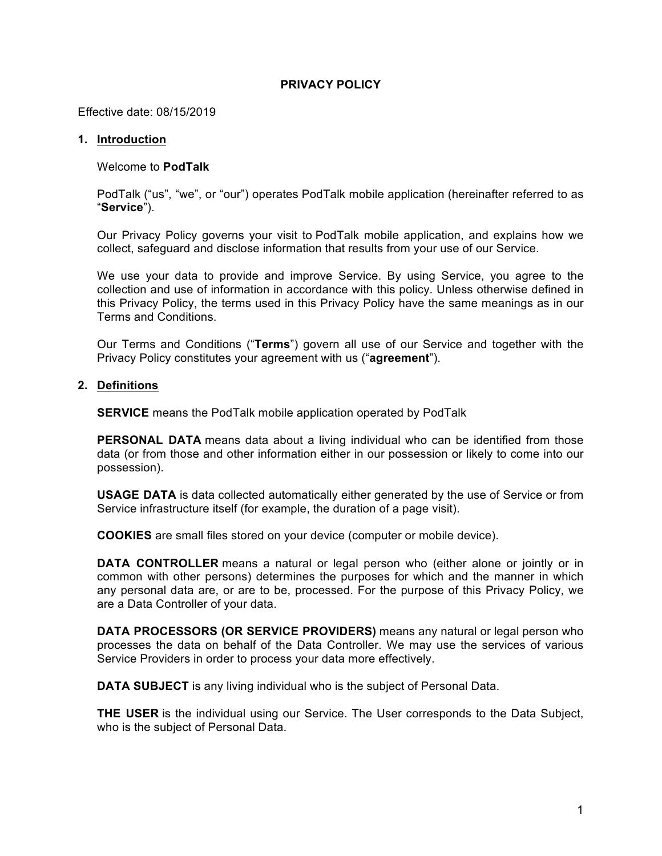# **PRIVACY POLICY**

Effective date: 08/15/2019

### **1. Introduction**

Welcome to **PodTalk**

PodTalk ("us", "we", or "our") operates PodTalk mobile application (hereinafter referred to as "**Service**").

Our Privacy Policy governs your visit to PodTalk mobile application, and explains how we collect, safeguard and disclose information that results from your use of our Service.

We use your data to provide and improve Service. By using Service, you agree to the collection and use of information in accordance with this policy. Unless otherwise defined in this Privacy Policy, the terms used in this Privacy Policy have the same meanings as in our Terms and Conditions.

Our Terms and Conditions ("**Terms**") govern all use of our Service and together with the Privacy Policy constitutes your agreement with us ("**agreement**").

# **2. Definitions**

**SERVICE** means the PodTalk mobile application operated by PodTalk

**PERSONAL DATA** means data about a living individual who can be identified from those data (or from those and other information either in our possession or likely to come into our possession).

**USAGE DATA** is data collected automatically either generated by the use of Service or from Service infrastructure itself (for example, the duration of a page visit).

**COOKIES** are small files stored on your device (computer or mobile device).

**DATA CONTROLLER** means a natural or legal person who (either alone or jointly or in common with other persons) determines the purposes for which and the manner in which any personal data are, or are to be, processed. For the purpose of this Privacy Policy, we are a Data Controller of your data.

**DATA PROCESSORS (OR SERVICE PROVIDERS)** means any natural or legal person who processes the data on behalf of the Data Controller. We may use the services of various Service Providers in order to process your data more effectively.

**DATA SUBJECT** is any living individual who is the subject of Personal Data.

**THE USER** is the individual using our Service. The User corresponds to the Data Subject, who is the subject of Personal Data.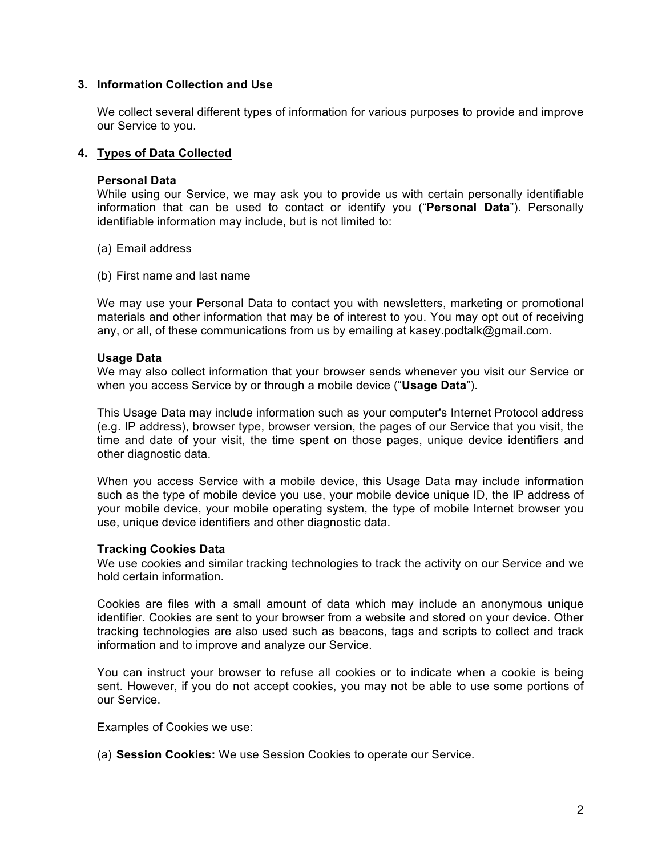# **3. Information Collection and Use**

We collect several different types of information for various purposes to provide and improve our Service to you.

### **4. Types of Data Collected**

#### **Personal Data**

While using our Service, we may ask you to provide us with certain personally identifiable information that can be used to contact or identify you ("**Personal Data**"). Personally identifiable information may include, but is not limited to:

- (a) Email address
- (b) First name and last name

We may use your Personal Data to contact you with newsletters, marketing or promotional materials and other information that may be of interest to you. You may opt out of receiving any, or all, of these communications from us by emailing at kasey.podtalk@gmail.com.

#### **Usage Data**

We may also collect information that your browser sends whenever you visit our Service or when you access Service by or through a mobile device ("**Usage Data**").

This Usage Data may include information such as your computer's Internet Protocol address (e.g. IP address), browser type, browser version, the pages of our Service that you visit, the time and date of your visit, the time spent on those pages, unique device identifiers and other diagnostic data.

When you access Service with a mobile device, this Usage Data may include information such as the type of mobile device you use, your mobile device unique ID, the IP address of your mobile device, your mobile operating system, the type of mobile Internet browser you use, unique device identifiers and other diagnostic data.

### **Tracking Cookies Data**

We use cookies and similar tracking technologies to track the activity on our Service and we hold certain information.

Cookies are files with a small amount of data which may include an anonymous unique identifier. Cookies are sent to your browser from a website and stored on your device. Other tracking technologies are also used such as beacons, tags and scripts to collect and track information and to improve and analyze our Service.

You can instruct your browser to refuse all cookies or to indicate when a cookie is being sent. However, if you do not accept cookies, you may not be able to use some portions of our Service.

Examples of Cookies we use:

(a) **Session Cookies:** We use Session Cookies to operate our Service.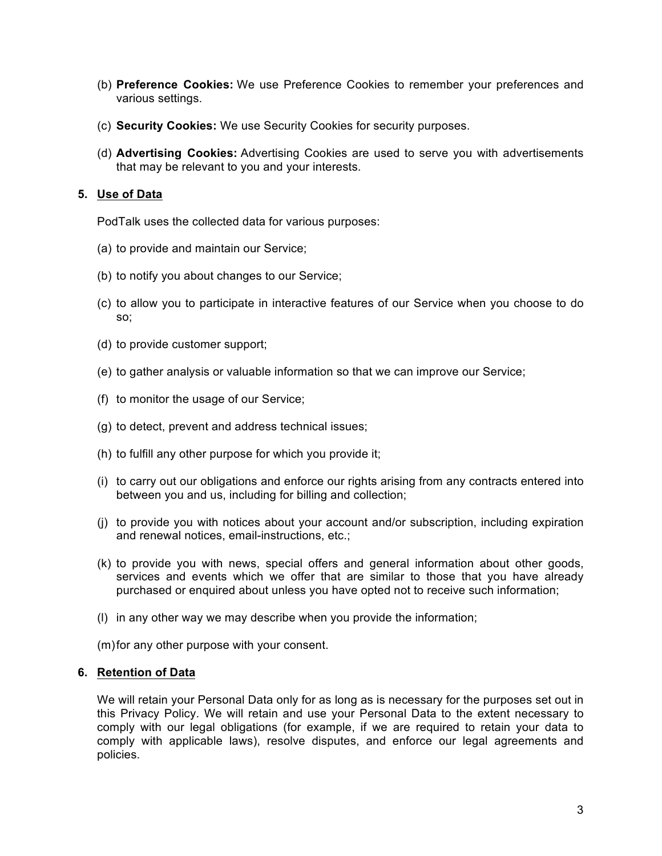- (b) **Preference Cookies:** We use Preference Cookies to remember your preferences and various settings.
- (c) **Security Cookies:** We use Security Cookies for security purposes.
- (d) **Advertising Cookies:** Advertising Cookies are used to serve you with advertisements that may be relevant to you and your interests.

# **5. Use of Data**

PodTalk uses the collected data for various purposes:

- (a) to provide and maintain our Service;
- (b) to notify you about changes to our Service;
- (c) to allow you to participate in interactive features of our Service when you choose to do so;
- (d) to provide customer support;
- (e) to gather analysis or valuable information so that we can improve our Service;
- (f) to monitor the usage of our Service;
- (g) to detect, prevent and address technical issues;
- (h) to fulfill any other purpose for which you provide it;
- (i) to carry out our obligations and enforce our rights arising from any contracts entered into between you and us, including for billing and collection;
- (j) to provide you with notices about your account and/or subscription, including expiration and renewal notices, email-instructions, etc.;
- (k) to provide you with news, special offers and general information about other goods, services and events which we offer that are similar to those that you have already purchased or enquired about unless you have opted not to receive such information;
- (l) in any other way we may describe when you provide the information;

(m)for any other purpose with your consent.

### **6. Retention of Data**

We will retain your Personal Data only for as long as is necessary for the purposes set out in this Privacy Policy. We will retain and use your Personal Data to the extent necessary to comply with our legal obligations (for example, if we are required to retain your data to comply with applicable laws), resolve disputes, and enforce our legal agreements and policies.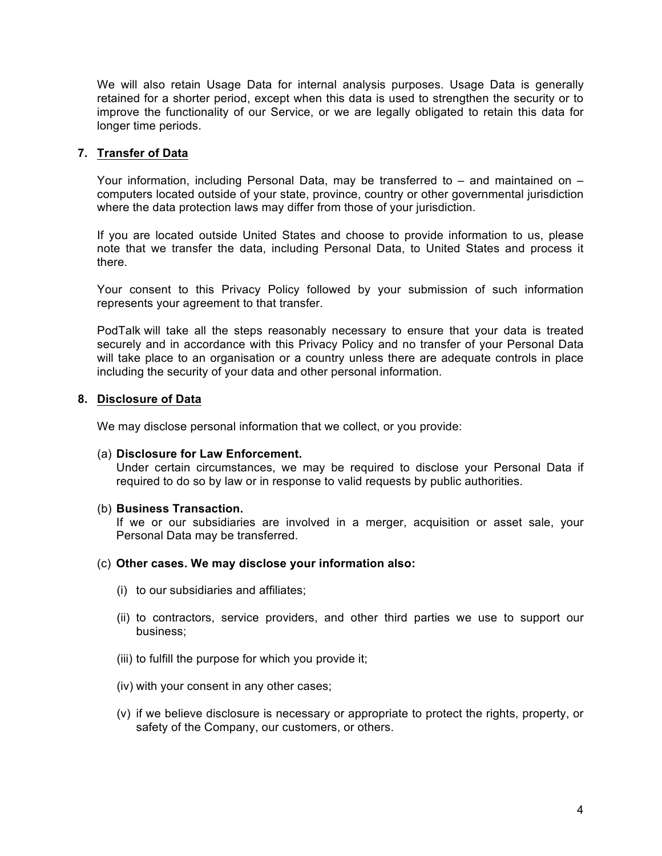We will also retain Usage Data for internal analysis purposes. Usage Data is generally retained for a shorter period, except when this data is used to strengthen the security or to improve the functionality of our Service, or we are legally obligated to retain this data for longer time periods.

# **7. Transfer of Data**

Your information, including Personal Data, may be transferred to  $-$  and maintained on  $$ computers located outside of your state, province, country or other governmental jurisdiction where the data protection laws may differ from those of your jurisdiction.

If you are located outside United States and choose to provide information to us, please note that we transfer the data, including Personal Data, to United States and process it there.

Your consent to this Privacy Policy followed by your submission of such information represents your agreement to that transfer.

PodTalk will take all the steps reasonably necessary to ensure that your data is treated securely and in accordance with this Privacy Policy and no transfer of your Personal Data will take place to an organisation or a country unless there are adequate controls in place including the security of your data and other personal information.

### **8. Disclosure of Data**

We may disclose personal information that we collect, or you provide:

### (a) **Disclosure for Law Enforcement.**

Under certain circumstances, we may be required to disclose your Personal Data if required to do so by law or in response to valid requests by public authorities.

### (b) **Business Transaction.**

If we or our subsidiaries are involved in a merger, acquisition or asset sale, your Personal Data may be transferred.

### (c) **Other cases. We may disclose your information also:**

- (i) to our subsidiaries and affiliates;
- (ii) to contractors, service providers, and other third parties we use to support our business;
- (iii) to fulfill the purpose for which you provide it;
- (iv) with your consent in any other cases;
- (v) if we believe disclosure is necessary or appropriate to protect the rights, property, or safety of the Company, our customers, or others.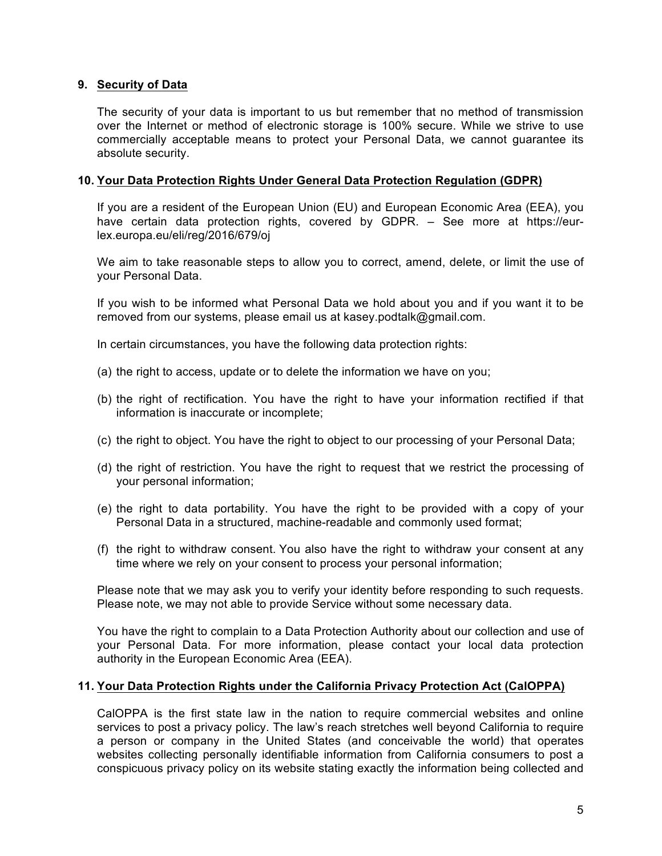# **9. Security of Data**

The security of your data is important to us but remember that no method of transmission over the Internet or method of electronic storage is 100% secure. While we strive to use commercially acceptable means to protect your Personal Data, we cannot guarantee its absolute security.

# **10. Your Data Protection Rights Under General Data Protection Regulation (GDPR)**

If you are a resident of the European Union (EU) and European Economic Area (EEA), you have certain data protection rights, covered by GDPR. – See more at https://eurlex.europa.eu/eli/reg/2016/679/oj

We aim to take reasonable steps to allow you to correct, amend, delete, or limit the use of your Personal Data.

If you wish to be informed what Personal Data we hold about you and if you want it to be removed from our systems, please email us at kasey.podtalk@gmail.com.

- In certain circumstances, you have the following data protection rights:
- (a) the right to access, update or to delete the information we have on you;
- (b) the right of rectification. You have the right to have your information rectified if that information is inaccurate or incomplete;
- (c) the right to object. You have the right to object to our processing of your Personal Data;
- (d) the right of restriction. You have the right to request that we restrict the processing of your personal information;
- (e) the right to data portability. You have the right to be provided with a copy of your Personal Data in a structured, machine-readable and commonly used format;
- (f) the right to withdraw consent. You also have the right to withdraw your consent at any time where we rely on your consent to process your personal information;

Please note that we may ask you to verify your identity before responding to such requests. Please note, we may not able to provide Service without some necessary data.

You have the right to complain to a Data Protection Authority about our collection and use of your Personal Data. For more information, please contact your local data protection authority in the European Economic Area (EEA).

### **11. Your Data Protection Rights under the California Privacy Protection Act (CalOPPA)**

CalOPPA is the first state law in the nation to require commercial websites and online services to post a privacy policy. The law's reach stretches well beyond California to require a person or company in the United States (and conceivable the world) that operates websites collecting personally identifiable information from California consumers to post a conspicuous privacy policy on its website stating exactly the information being collected and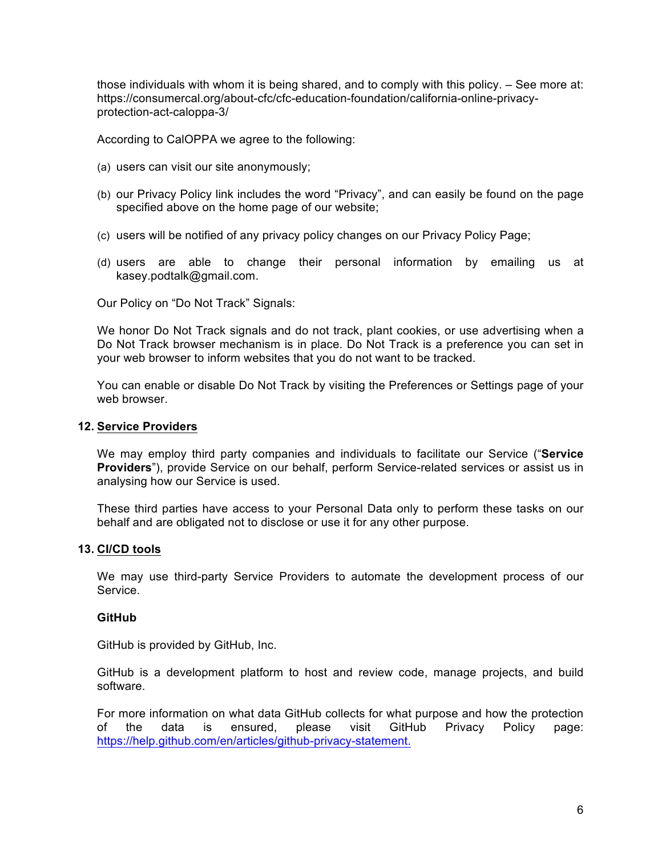those individuals with whom it is being shared, and to comply with this policy. – See more at: https://consumercal.org/about-cfc/cfc-education-foundation/california-online-privacyprotection-act-caloppa-3/

According to CalOPPA we agree to the following:

- (a) users can visit our site anonymously;
- (b) our Privacy Policy link includes the word "Privacy", and can easily be found on the page specified above on the home page of our website;
- (c) users will be notified of any privacy policy changes on our Privacy Policy Page;
- (d) users are able to change their personal information by emailing us at kasey.podtalk@gmail.com.

Our Policy on "Do Not Track" Signals:

We honor Do Not Track signals and do not track, plant cookies, or use advertising when a Do Not Track browser mechanism is in place. Do Not Track is a preference you can set in your web browser to inform websites that you do not want to be tracked.

You can enable or disable Do Not Track by visiting the Preferences or Settings page of your web browser.

### **12. Service Providers**

We may employ third party companies and individuals to facilitate our Service ("**Service Providers**"), provide Service on our behalf, perform Service-related services or assist us in analysing how our Service is used.

These third parties have access to your Personal Data only to perform these tasks on our behalf and are obligated not to disclose or use it for any other purpose.

### **13. CI/CD tools**

We may use third-party Service Providers to automate the development process of our Service.

### **GitHub**

GitHub is provided by GitHub, Inc.

GitHub is a development platform to host and review code, manage projects, and build software.

For more information on what data GitHub collects for what purpose and how the protection of the data is ensured, please visit GitHub Privacy Policy page: https://help.github.com/en/articles/github-privacy-statement.